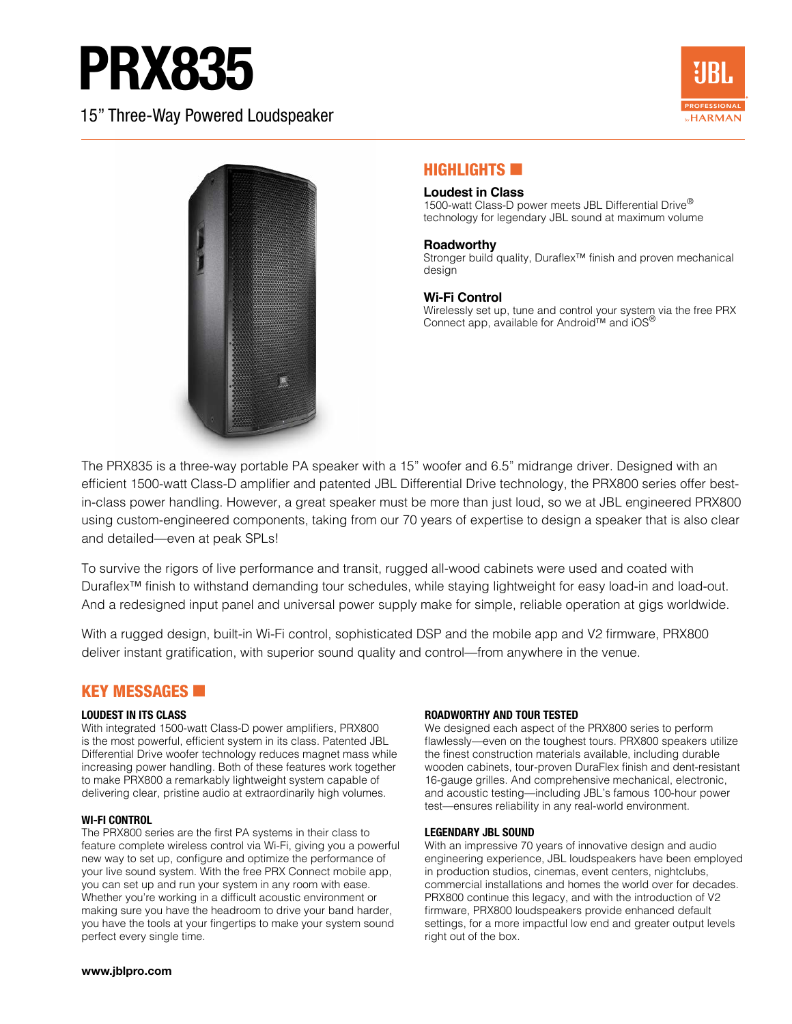# **PRX835**

15" Three-Way Powered Loudspeaker





# **HIGHLIGHTS EX**

#### **Loudest in Class**

1500-watt Class-D power meets JBL Differential Drive<sup>®</sup> technology for legendary JBL sound at maximum volume

#### **Roadworthy**

Stronger build quality, Duraflex™ finish and proven mechanical design

#### **Wi-Fi Control**

Wirelessly set up, tune and control your system via the free PRX Connect app, available for Android™ and iOS®

The PRX835 is a three-way portable PA speaker with a 15" woofer and 6.5" midrange driver. Designed with an efficient 1500-watt Class-D amplifier and patented JBL Differential Drive technology, the PRX800 series offer bestin-class power handling. However, a great speaker must be more than just loud, so we at JBL engineered PRX800 using custom-engineered components, taking from our 70 years of expertise to design a speaker that is also clear and detailed—even at peak SPLs!

To survive the rigors of live performance and transit, rugged all-wood cabinets were used and coated with Duraflex™ finish to withstand demanding tour schedules, while staying lightweight for easy load-in and load-out. And a redesigned input panel and universal power supply make for simple, reliable operation at gigs worldwide.

With a rugged design, built-in Wi-Fi control, sophisticated DSP and the mobile app and V2 firmware, PRX800 deliver instant gratification, with superior sound quality and control—from anywhere in the venue.

### KEY MESSAGES **60**

#### **LOUDEST IN ITS CLASS**

With integrated 1500-watt Class-D power amplifiers, PRX800 is the most powerful, efficient system in its class. Patented JBL Differential Drive woofer technology reduces magnet mass while increasing power handling. Both of these features work together to make PRX800 a remarkably lightweight system capable of delivering clear, pristine audio at extraordinarily high volumes.

#### **WI-FI CONTROL**

The PRX800 series are the first PA systems in their class to feature complete wireless control via Wi-Fi, giving you a powerful new way to set up, configure and optimize the performance of your live sound system. With the free PRX Connect mobile app, you can set up and run your system in any room with ease. Whether you're working in a difficult acoustic environment or making sure you have the headroom to drive your band harder, you have the tools at your fingertips to make your system sound perfect every single time.

#### **ROADWORTHY AND TOUR TESTED**

We designed each aspect of the PRX800 series to perform flawlessly—even on the toughest tours. PRX800 speakers utilize the finest construction materials available, including durable wooden cabinets, tour-proven DuraFlex finish and dent-resistant 16-gauge grilles. And comprehensive mechanical, electronic, and acoustic testing—including JBL's famous 100-hour power test—ensures reliability in any real-world environment.

#### **LEGENDARY JBL SOUND**

With an impressive 70 years of innovative design and audio engineering experience, JBL loudspeakers have been employed in production studios, cinemas, event centers, nightclubs, commercial installations and homes the world over for decades. PRX800 continue this legacy, and with the introduction of V2 firmware, PRX800 loudspeakers provide enhanced default settings, for a more impactful low end and greater output levels right out of the box.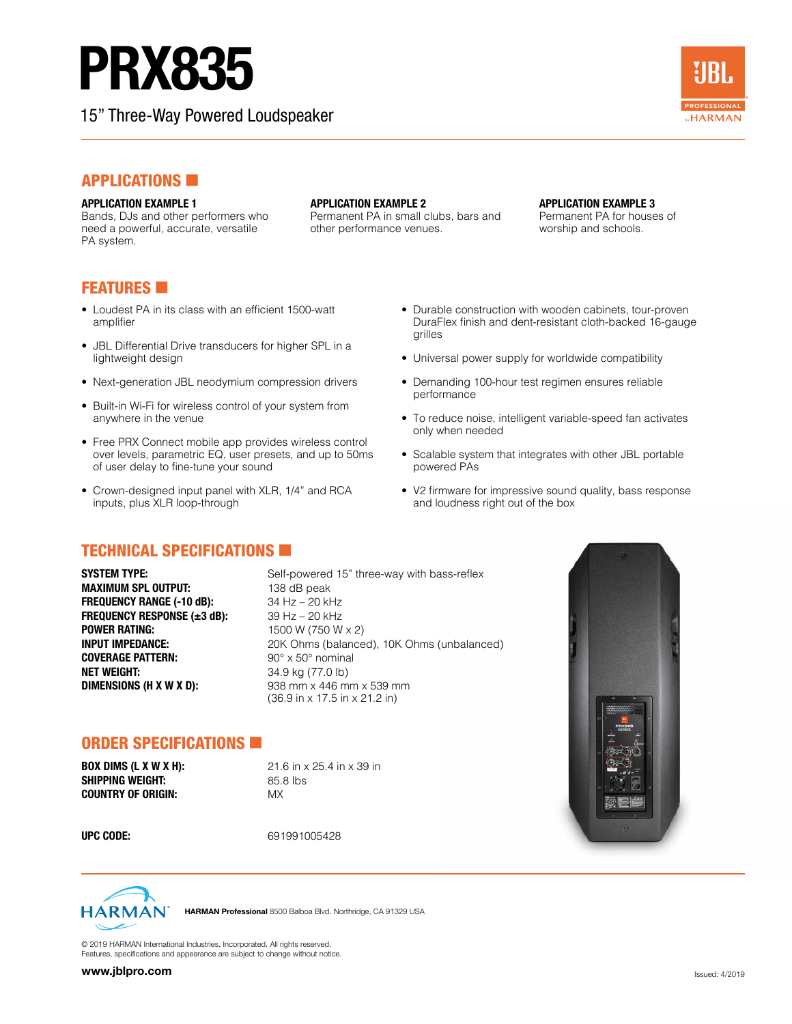# PRX835

Bands, DJs and other performers who need a powerful, accurate, versatile

15" Three-Way Powered Loudspeaker



# **APPLICATIONS**

### **APPLICATION EXAMPLE 1**

**APPLICATION EXAMPLE 2** 

Permanent PA in small clubs, bars and other performance venues.

#### **APPLICATION EXAMPLE 3**

Permanent PA for houses of worship and schools.

# **FEATURES**

PA system.

- Loudest PA in its class with an efficient 1500-watt amplifier
- JBL Differential Drive transducers for higher SPL in a lightweight design
- Next-generation JBL neodymium compression drivers
- Built-in Wi-Fi for wireless control of your system from anywhere in the venue
- Free PRX Connect mobile app provides wireless control over levels, parametric EQ, user presets, and up to 50ms of user delay to fine-tune your sound
- Crown-designed input panel with XLR, 1/4" and RCA inputs, plus XLR loop-through
- **TECHNICAL SPECIFICATIONS IN**

**MAXIMUM SPL OUTPUT:** 138 dB peak **FREQUENCY RANGE (-10 dB):** 34 Hz – 20 kHz **FREQUENCY RESPONSE (±3 dB):** 39 Hz – 20 kHz **POWER RATING:**<br> **INPUT IMPEDANCE:**<br>
1500 W (750 W x 2)<br>
20K Ohms (balance **COVERAGE PATTERN:** 90° x 50° nominal **NET WEIGHT:**  $34.9 \text{ kg} (77.0 \text{ lb})$ **DIMENSIONS (H X W X D):** 938 mm x 446 mm x 539 mm

**SYSTEM TYPE:** Self-powered 15" three-way with bass-reflex 20K Ohms (balanced), 10K Ohms (unbalanced) (36.9 in x 17.5 in x 21.2 in)

## ORDER SPECIFICATIONS

**BOX DIMS (L X W X H):** 21.6 in x 25.4 in x 39 in **SHIPPING WEIGHT:** 85.8 lbs **COUNTRY OF ORIGIN:** MX

**UPC CODE:** 691991005428



HARMAN Professional 8500 Balboa Blvd. Northridge, CA 91329 USA

© 2019 HARMAN International Industries, Incorporated. All rights reserved. Features, specifications and appearance are subject to change without notice.

- Durable construction with wooden cabinets, tour-proven DuraFlex finish and dent-resistant cloth-backed 16-gauge grilles
- Universal power supply for worldwide compatibility
- Demanding 100-hour test regimen ensures reliable performance
- To reduce noise, intelligent variable-speed fan activates only when needed
- Scalable system that integrates with other JBL portable powered PAs
- V2 firmware for impressive sound quality, bass response and loudness right out of the box